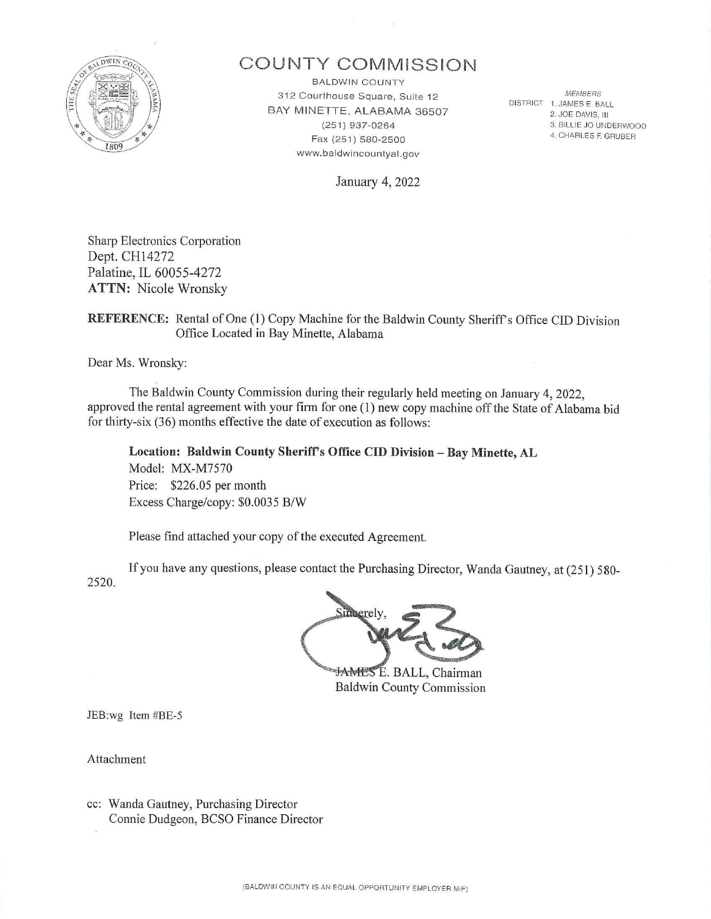

# **COU NTY COr\/lMISSION**

BALDWIN COUNTY MEMBERS 3 12 Courthouse Square, Suite 12 BAY MINETTE, ALABAMA 36507 (251) 937-0264 Fax {251 ) 580-2500 www.baldwincountyal.gov

DISTRICT 1. JAMES E. BALL 2. JOE DAVIS, III 3. BILLIE JO UNDERWOOD 4. CHARLES F. GRUBER

January 4, 2022

Sharp Electronics Corporation Dept. CH14272 Palatine, IL 60055-4272 **ATTN:** Nicole Wronsky

### REFERENCE: Rental of One (1) Copy Machine for the Baldwin County Sheriff's Office CID Division Office Located in Bay Minette, Alabama

Dear Ms. Wronsky:

The Baldwin County Commission during their regularly held meeting on January 4, 2022, approved the rental agreement with your firm for one (1) new copy machine off the State of Alabama bid for thirty-six (36) months effective the date of execution as follows:

**Location: Baldwin County Sherifrs Office CID Division - Bay Minette, AL**  Model: MX-M7570 Price: \$226.05 per month Excess Charge/copy: \$0.0035 B/W

Please find attached your copy of the executed Agreement.

2520. If you have any questions, please contact the Purchasing Director, Wanda Gautney, at (251) 580-

neerely

JAMES E. BALL, Chairman Baldwin County Commission

JEB:wg Item #BE-5

Attachment

cc: Wanda Gautney, Purchasing Director Connie Dudgeon, BCSO Finance Director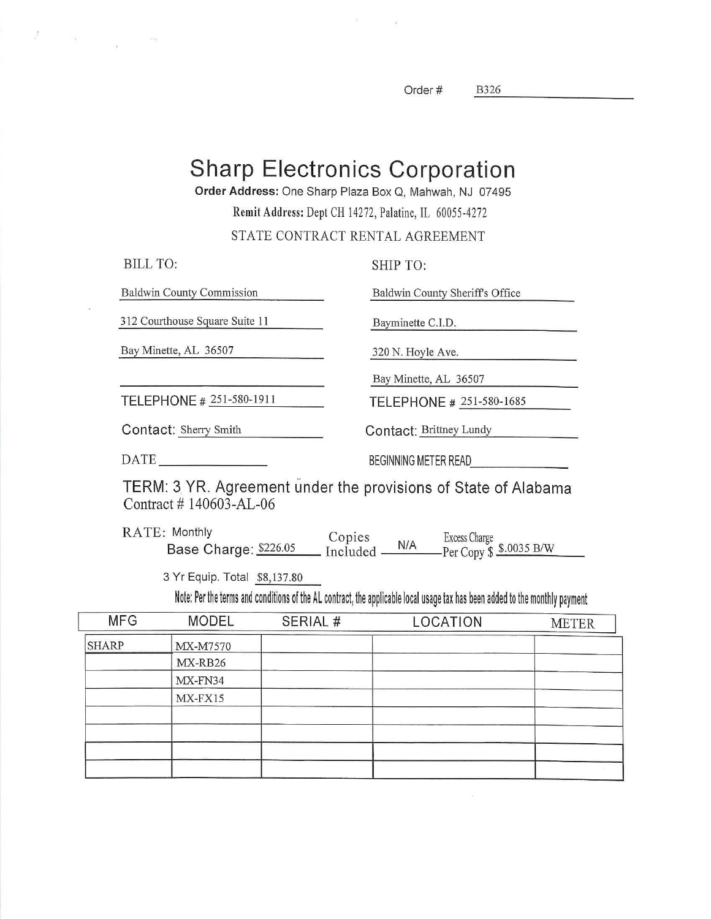Order# B326 ---------

**Sharp Electronics Corporation** 

 $\omega$ 

**Order Address:** One Sharp Plaza Box Q, Mahwah, NJ 07495

Remit Address: Dept CH 14272, Palatine, IL 60055-4272

STATE CONTRACT RENTAL AGREEMENT

| <b>BILL TO:</b>                  | SHIP TO:                        |
|----------------------------------|---------------------------------|
| <b>Baldwin County Commission</b> | Baldwin County Sheriff's Office |
| 312 Courthouse Square Suite 11   | Bayminette C.I.D.               |
| Bay Minette, AL 36507            | 320 N. Hoyle Ave.               |
|                                  | Bay Minette, AL 36507           |
| TELEPHONE # 251-580-1911         | TELEPHONE # 251-580-1685        |
| Contact: Sherry Smith            | Contact: Brittney Lundy         |
| <b>DATE</b>                      | <b>BEGINNING METER READ</b>     |

TERM: 3 YR. Agreement under the provisions of State of Alabama Contract #140603-AL-06

RATE: Monthly Base Charge: \$226.05 Copies Excess Charge<br>
Included M/A Per Copy \$ \$.0035 B/W

3 Yr Equip. Total \$8,137.80

 $\frac{1}{\sqrt{2}}$ 

 $\label{eq:R1} \mathcal{P}(\underline{\mathbf{a}}) = \mathcal{P}(\underline{\mathbf{a}})$ 

Note: Per the terms and conditions of the AL contract, the applicable local usage tax has been added to the monthly payment

| <b>MFG</b>   | <b>MODEL</b> | SERIAL # | LOCATION | <b>METER</b> |
|--------------|--------------|----------|----------|--------------|
| <b>SHARP</b> | MX-M7570     |          |          |              |
|              | MX-RB26      |          |          |              |
|              | MX-FN34      |          |          |              |
|              | MX-FX15      |          |          |              |
|              |              |          |          |              |
|              |              |          |          |              |
|              |              |          |          |              |
|              |              |          |          |              |